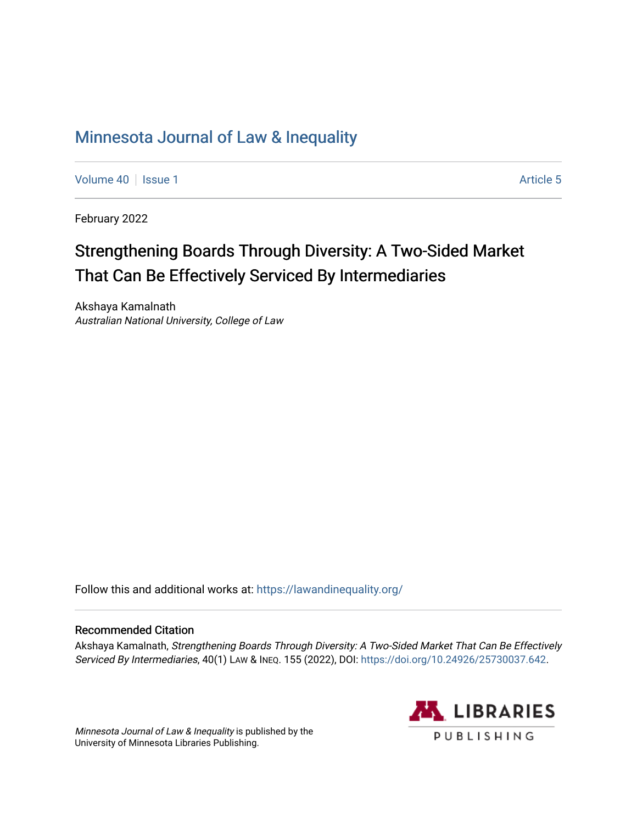# [Minnesota Journal of Law & Inequality](https://scholarship.law.umn.edu/lawineq)

[Volume 40](https://scholarship.law.umn.edu/lawineq/vol40) | [Issue 1](https://scholarship.law.umn.edu/lawineq/vol40/iss1) Article 5

February 2022

# Strengthening Boards Through Diversity: A Two-Sided Market That Can Be Effectively Serviced By Intermediaries

Akshaya Kamalnath Australian National University, College of Law

Follow this and additional works at: <https://lawandinequality.org/>

# Recommended Citation

Akshaya Kamalnath, Strengthening Boards Through Diversity: A Two-Sided Market That Can Be Effectively Serviced By Intermediaries, 40(1) LAW & INEQ. 155 (2022), DOI:<https://doi.org/10.24926/25730037.642>.

Minnesota Journal of Law & Inequality is published by the University of Minnesota Libraries Publishing.

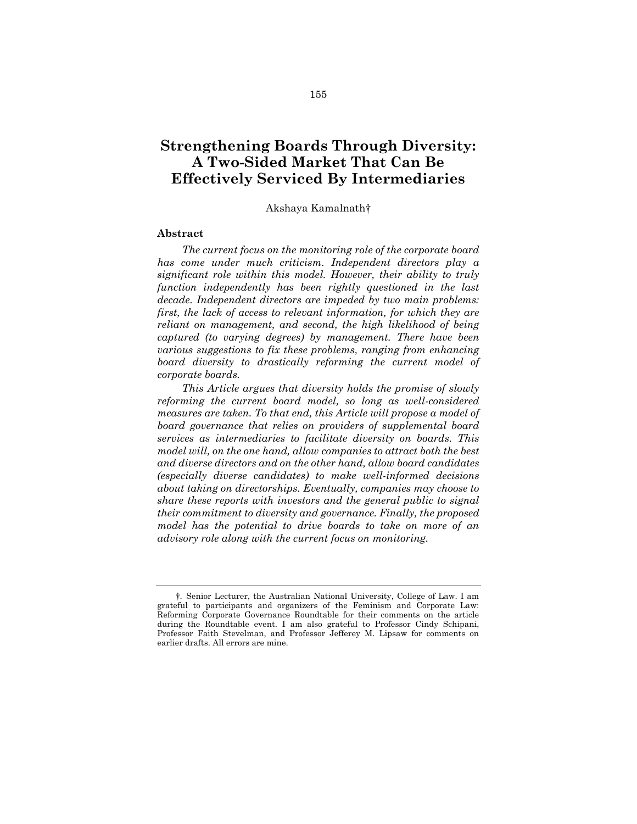# **Strengthening Boards Through Diversity: A Two-Sided Market That Can Be Effectively Serviced By Intermediaries**

#### Akshaya Kamalnath†

#### **Abstract**

*The current focus on the monitoring role of the corporate board has come under much criticism. Independent directors play a significant role within this model. However, their ability to truly function independently has been rightly questioned in the last decade. Independent directors are impeded by two main problems: first, the lack of access to relevant information, for which they are reliant on management, and second, the high likelihood of being captured (to varying degrees) by management. There have been various suggestions to fix these problems, ranging from enhancing board diversity to drastically reforming the current model of corporate boards.*

*This Article argues that diversity holds the promise of slowly reforming the current board model, so long as well-considered measures are taken. To that end, this Article will propose a model of board governance that relies on providers of supplemental board services as intermediaries to facilitate diversity on boards. This model will, on the one hand, allow companies to attract both the best and diverse directors and on the other hand, allow board candidates (especially diverse candidates) to make well-informed decisions about taking on directorships. Eventually, companies may choose to share these reports with investors and the general public to signal their commitment to diversity and governance. Finally, the proposed model has the potential to drive boards to take on more of an advisory role along with the current focus on monitoring.*

<sup>†</sup>. Senior Lecturer, the Australian National University, College of Law. I am grateful to participants and organizers of the Feminism and Corporate Law: Reforming Corporate Governance Roundtable for their comments on the article during the Roundtable event. I am also grateful to Professor Cindy Schipani, Professor Faith Stevelman, and Professor Jefferey M. Lipsaw for comments on earlier drafts. All errors are mine.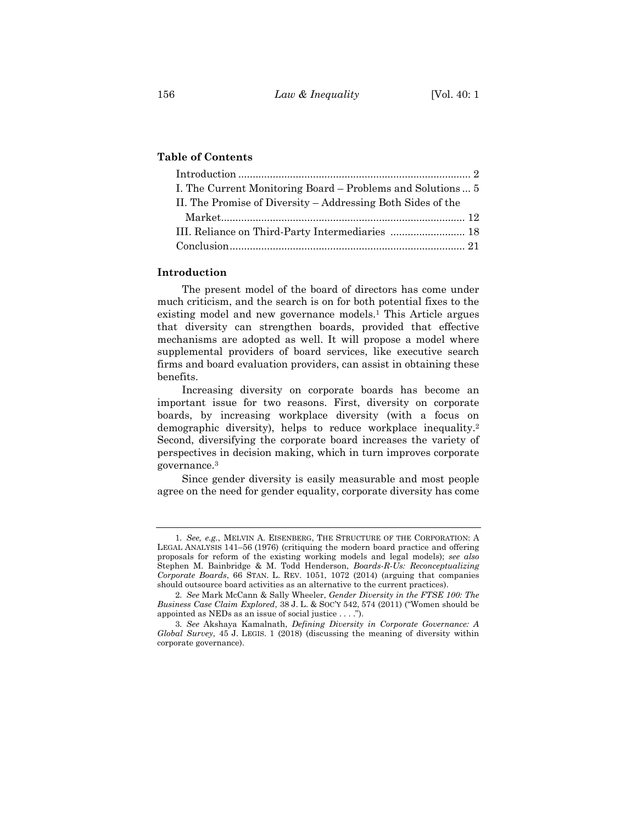# **Table of Contents**

| I. The Current Monitoring Board – Problems and Solutions  5 |
|-------------------------------------------------------------|
|                                                             |
|                                                             |
|                                                             |
|                                                             |
|                                                             |

## **Introduction**

<span id="page-2-1"></span>The present model of the board of directors has come under much criticism, and the search is on for both potential fixes to the existing model and new governance models.<sup>1</sup> This Article argues that diversity can strengthen boards, provided that effective mechanisms are adopted as well. It will propose a model where supplemental providers of board services, like executive search firms and board evaluation providers, can assist in obtaining these benefits.

<span id="page-2-0"></span>Increasing diversity on corporate boards has become an important issue for two reasons. First, diversity on corporate boards, by increasing workplace diversity (with a focus on demographic diversity), helps to reduce workplace inequality.<sup>2</sup> Second, diversifying the corporate board increases the variety of perspectives in decision making, which in turn improves corporate governance.<sup>3</sup>

Since gender diversity is easily measurable and most people agree on the need for gender equality, corporate diversity has come

<sup>1</sup>*. See, e.g.*, MELVIN A. EISENBERG, THE STRUCTURE OF THE CORPORATION: A LEGAL ANALYSIS 141–56 (1976) (critiquing the modern board practice and offering proposals for reform of the existing working models and legal models); *see also* Stephen M. Bainbridge & M. Todd Henderson, *Boards-R-Us: Reconceptualizing Corporate Boards*, 66 STAN. L. REV. 1051, 1072 (2014) (arguing that companies should outsource board activities as an alternative to the current practices).

<sup>2</sup>*. See* Mark McCann & Sally Wheeler, *Gender Diversity in the FTSE 100: The Business Case Claim Explored*, 38 J. L. & SOC'Y 542, 574 (2011) ("Women should be appointed as NEDs as an issue of social justice . . . .").

<sup>3</sup>*. See* Akshaya Kamalnath, *Defining Diversity in Corporate Governance: A Global Survey*, 45 J. LEGIS. 1 (2018) (discussing the meaning of diversity within corporate governance).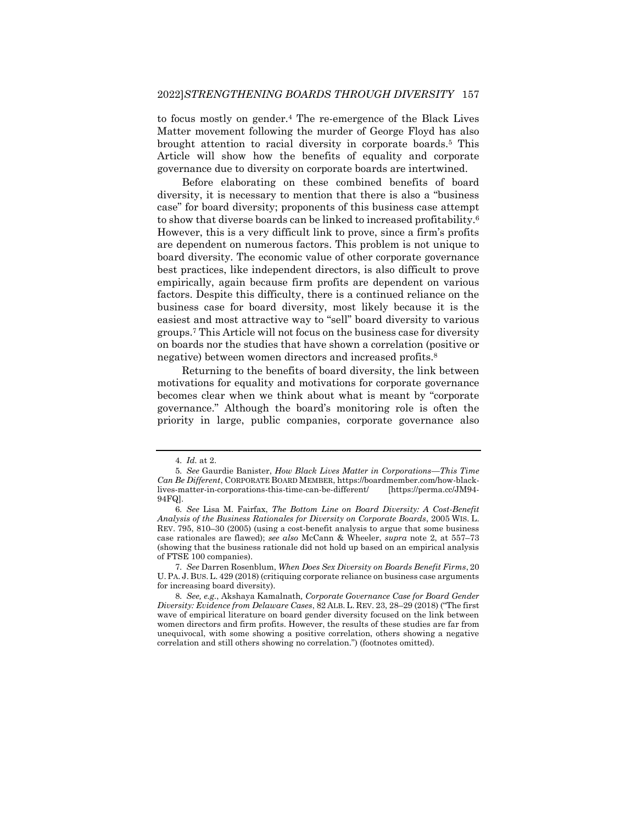<span id="page-3-1"></span>to focus mostly on gender.<sup>4</sup> The re-emergence of the Black Lives Matter movement following the murder of George Floyd has also brought attention to racial diversity in corporate boards.<sup>5</sup> This Article will show how the benefits of equality and corporate governance due to diversity on corporate boards are intertwined.

<span id="page-3-2"></span>Before elaborating on these combined benefits of board diversity, it is necessary to mention that there is also a "business case" for board diversity; proponents of this business case attempt to show that diverse boards can be linked to increased profitability.<sup>6</sup> However, this is a very difficult link to prove, since a firm's profits are dependent on numerous factors. This problem is not unique to board diversity. The economic value of other corporate governance best practices, like independent directors, is also difficult to prove empirically, again because firm profits are dependent on various factors. Despite this difficulty, there is a continued reliance on the business case for board diversity, most likely because it is the easiest and most attractive way to "sell" board diversity to various groups.<sup>7</sup> This Article will not focus on the business case for diversity on boards nor the studies that have shown a correlation (positive or negative) between women directors and increased profits.<sup>8</sup>

<span id="page-3-0"></span>Returning to the benefits of board diversity, the link between motivations for equality and motivations for corporate governance becomes clear when we think about what is meant by "corporate governance." Although the board's monitoring role is often the priority in large, public companies, corporate governance also

<sup>4</sup>*. Id.* at 2.

<sup>5</sup>*. See* Gaurdie Banister, *How Black Lives Matter in Corporations—This Time Can Be Different*, CORPORATE BOARD MEMBER, https://boardmember.com/how-blacklives-matter-in-corporations-this-time-can-be-different/ 94FQ].

<sup>6</sup>*. See* Lisa M. Fairfax, *The Bottom Line on Board Diversity: A Cost-Benefit Analysis of the Business Rationales for Diversity on Corporate Boards*, 2005 WIS. L. REV. 795, 810–30 (2005) (using a cost-benefit analysis to argue that some business case rationales are flawed); *see also* McCann & Wheeler, *supra* note [2,](#page-2-0) at 557–73 (showing that the business rationale did not hold up based on an empirical analysis of FTSE 100 companies).

<sup>7</sup>*. See* Darren Rosenblum, *When Does Sex Diversity on Boards Benefit Firms*, 20 U. PA. J. BUS. L. 429 (2018) (critiquing corporate reliance on business case arguments for increasing board diversity).

<sup>8</sup>*. See, e.g.*, Akshaya Kamalnath*, Corporate Governance Case for Board Gender Diversity: Evidence from Delaware Cases*, 82 ALB. L. REV. 23, 28–29 (2018) ("The first wave of empirical literature on board gender diversity focused on the link between women directors and firm profits. However, the results of these studies are far from unequivocal, with some showing a positive correlation, others showing a negative correlation and still others showing no correlation.") (footnotes omitted).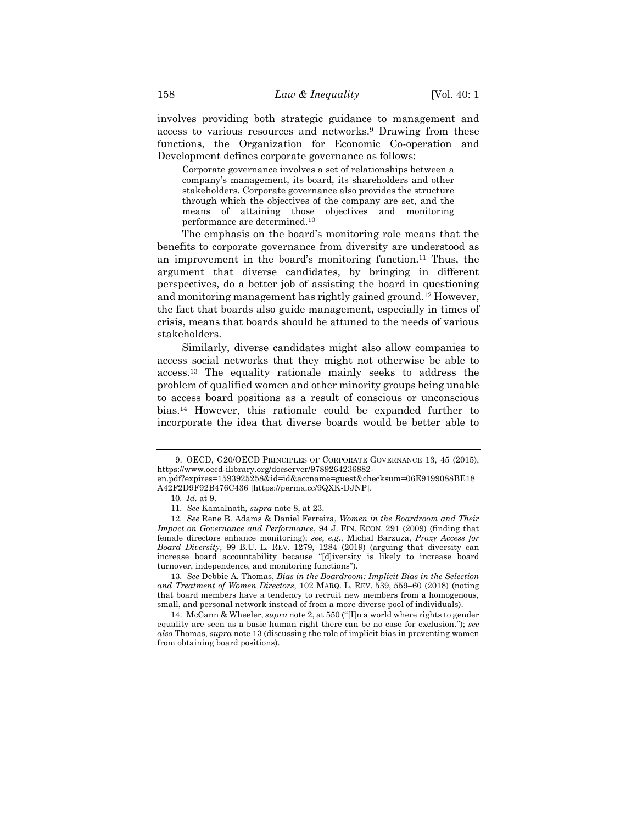involves providing both strategic guidance to management and access to various resources and networks.<sup>9</sup> Drawing from these functions, the Organization for Economic Co-operation and Development defines corporate governance as follows:

Corporate governance involves a set of relationships between a company's management, its board, its shareholders and other stakeholders. Corporate governance also provides the structure through which the objectives of the company are set, and the means of attaining those objectives and monitoring performance are determined.<sup>10</sup>

The emphasis on the board's monitoring role means that the benefits to corporate governance from diversity are understood as an improvement in the board's monitoring function.<sup>11</sup> Thus, the argument that diverse candidates, by bringing in different perspectives, do a better job of assisting the board in questioning and monitoring management has rightly gained ground.<sup>12</sup> However, the fact that boards also guide management, especially in times of crisis, means that boards should be attuned to the needs of various stakeholders.

<span id="page-4-0"></span>Similarly, diverse candidates might also allow companies to access social networks that they might not otherwise be able to access.<sup>13</sup> The equality rationale mainly seeks to address the problem of qualified women and other minority groups being unable to access board positions as a result of conscious or unconscious bias.<sup>14</sup> However, this rationale could be expanded further to incorporate the idea that diverse boards would be better able to

<sup>9.</sup> OECD, G20/OECD PRINCIPLES OF CORPORATE GOVERNANCE 13, 45 (2015), https://www.oecd-ilibrary.org/docserver/9789264236882-

en.pdf?expires=1593925258&id=id&accname=guest&checksum=06E9199088BE18 A42F2D9F92B476C436 [https://perma.cc/9QXK-DJNP].

<sup>10</sup>*. Id.* at 9.

<sup>11</sup>*. See* Kamalnath*, supra* note [8,](#page-3-0) at 23.

<sup>12</sup>*. See* Rene B. Adams & Daniel Ferreira, *Women in the Boardroom and Their Impact on Governance and Performance*, 94 J. FIN. ECON. 291 (2009) (finding that female directors enhance monitoring); *see, e.g.*, Michal Barzuza, *Proxy Access for Board Diversity*, 99 B.U. L. REV. 1279, 1284 (2019) (arguing that diversity can increase board accountability because "[d]iversity is likely to increase board turnover, independence, and monitoring functions").

<sup>13</sup>*. See* Debbie A. Thomas, *Bias in the Boardroom: Implicit Bias in the Selection and Treatment of Women Directors*, 102 MARQ. L. REV. 539, 559–60 (2018) (noting that board members have a tendency to recruit new members from a homogenous, small, and personal network instead of from a more diverse pool of individuals).

<sup>14.</sup> McCann & Wheeler, *supra* note [2,](#page-2-0) at 550 ("[I]n a world where rights to gender equality are seen as a basic human right there can be no case for exclusion."); *see also* Thomas, *supra* note [13](#page-4-0) (discussing the role of implicit bias in preventing women from obtaining board positions).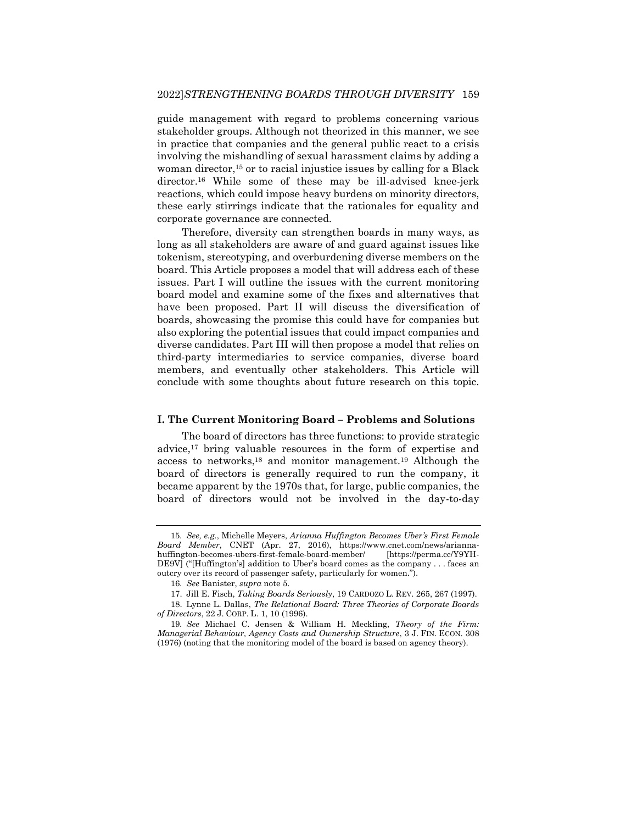guide management with regard to problems concerning various stakeholder groups. Although not theorized in this manner, we see in practice that companies and the general public react to a crisis involving the mishandling of sexual harassment claims by adding a woman director,<sup>15</sup> or to racial injustice issues by calling for a Black director.<sup>16</sup> While some of these may be ill-advised knee-jerk reactions, which could impose heavy burdens on minority directors, these early stirrings indicate that the rationales for equality and corporate governance are connected.

Therefore, diversity can strengthen boards in many ways, as long as all stakeholders are aware of and guard against issues like tokenism, stereotyping, and overburdening diverse members on the board. This Article proposes a model that will address each of these issues. Part I will outline the issues with the current monitoring board model and examine some of the fixes and alternatives that have been proposed. Part II will discuss the diversification of boards, showcasing the promise this could have for companies but also exploring the potential issues that could impact companies and diverse candidates. Part III will then propose a model that relies on third-party intermediaries to service companies, diverse board members, and eventually other stakeholders. This Article will conclude with some thoughts about future research on this topic.

### **I. The Current Monitoring Board – Problems and Solutions**

<span id="page-5-0"></span>The board of directors has three functions: to provide strategic advice,<sup>17</sup> bring valuable resources in the form of expertise and access to networks,<sup>18</sup> and monitor management.<sup>19</sup> Although the board of directors is generally required to run the company, it became apparent by the 1970s that, for large, public companies, the board of directors would not be involved in the day-to-day

<sup>15</sup>*. See, e.g.*, Michelle Meyers, *Arianna Huffington Becomes Uber's First Female Board Member*, CNET (Apr. 27, 2016), https://www.cnet.com/news/ariannahuffington-becomes-ubers-first-female-board-member/ [https://perma.cc/Y9YH-DE9V] ("[Huffington's] addition to Uber's board comes as the company . . . faces an outcry over its record of passenger safety, particularly for women.").

<sup>16</sup>*. See* Banister, *supra* note [5.](#page-3-1)

<sup>17.</sup> Jill E. Fisch, *Taking Boards Seriously*, 19 CARDOZO L. REV. 265, 267 (1997).

<sup>18.</sup> Lynne L. Dallas, *The Relational Board: Three Theories of Corporate Boards of Directors*, 22 J. CORP. L. 1, 10 (1996).

<sup>19</sup>*. See* Michael C. Jensen & William H. Meckling, *Theory of the Firm: Managerial Behaviour, Agency Costs and Ownership Structure*, 3 J. FIN. ECON. 308 (1976) (noting that the monitoring model of the board is based on agency theory).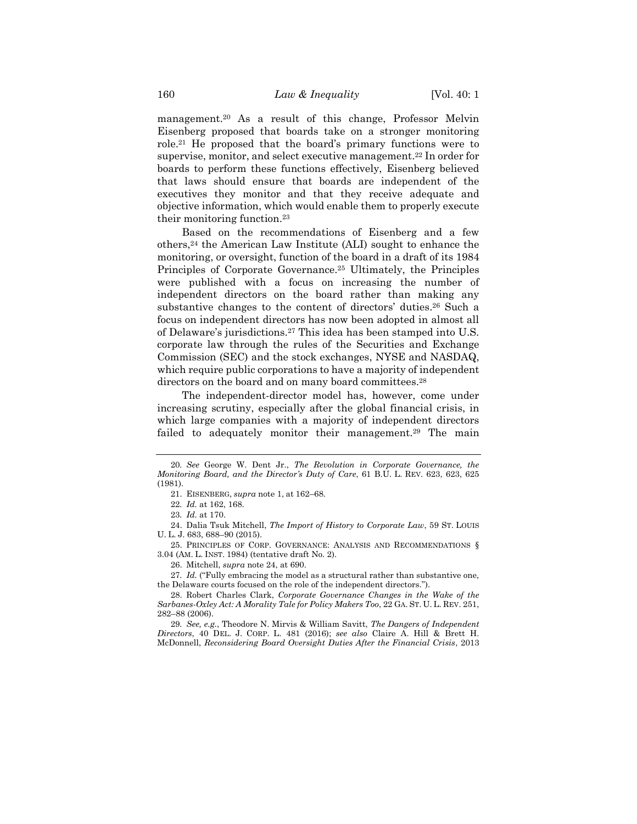management.<sup>20</sup> As a result of this change, Professor Melvin Eisenberg proposed that boards take on a stronger monitoring role.<sup>21</sup> He proposed that the board's primary functions were to supervise, monitor, and select executive management.<sup>22</sup> In order for boards to perform these functions effectively, Eisenberg believed that laws should ensure that boards are independent of the executives they monitor and that they receive adequate and objective information, which would enable them to properly execute their monitoring function.<sup>23</sup>

<span id="page-6-0"></span>Based on the recommendations of Eisenberg and a few others,<sup>24</sup> the American Law Institute (ALI) sought to enhance the monitoring, or oversight, function of the board in a draft of its 1984 Principles of Corporate Governance.<sup>25</sup> Ultimately, the Principles were published with a focus on increasing the number of independent directors on the board rather than making any substantive changes to the content of directors' duties.<sup>26</sup> Such a focus on independent directors has now been adopted in almost all of Delaware's jurisdictions.<sup>27</sup> This idea has been stamped into U.S. corporate law through the rules of the Securities and Exchange Commission (SEC) and the stock exchanges, NYSE and NASDAQ, which require public corporations to have a majority of independent directors on the board and on many board committees.<sup>28</sup>

The independent-director model has, however, come under increasing scrutiny, especially after the global financial crisis, in which large companies with a majority of independent directors failed to adequately monitor their management.<sup>29</sup> The main

24. Dalia Tsuk Mitchell, *The Import of History to Corporate Law*, 59 ST. LOUIS U. L. J. 683, 688–90 (2015).

25. PRINCIPLES OF CORP. GOVERNANCE: ANALYSIS AND RECOMMENDATIONS § 3.04 (AM. L. INST. 1984) (tentative draft No. 2).

26. Mitchell, *supra* note [24,](#page-6-0) at 690.

27*. Id.* ("Fully embracing the model as a structural rather than substantive one, the Delaware courts focused on the role of the independent directors.").

29*. See, e.g.*, Theodore N. Mirvis & William Savitt, *The Dangers of Independent Directors*, 40 DEL. J. CORP. L. 481 (2016); *see also* Claire A. Hill & Brett H. McDonnell, *Reconsidering Board Oversight Duties After the Financial Crisis*, 2013

<sup>20</sup>*. See* George W. Dent Jr., *The Revolution in Corporate Governance, the Monitoring Board, and the Director's Duty of Care*, 61 B.U. L. REV. 623, 623, 625 (1981).

<span id="page-6-1"></span><sup>21.</sup> EISENBERG, *supra* not[e 1,](#page-2-1) at 162–68*.*

<sup>22</sup>*. Id.* at 162, 168.

<sup>23</sup>*. Id.* at 170.

<sup>28.</sup> Robert Charles Clark, *Corporate Governance Changes in the Wake of the Sarbanes-Oxley Act: A Morality Tale for Policy Makers Too*, 22 GA. ST. U. L. REV. 251, 282–88 (2006).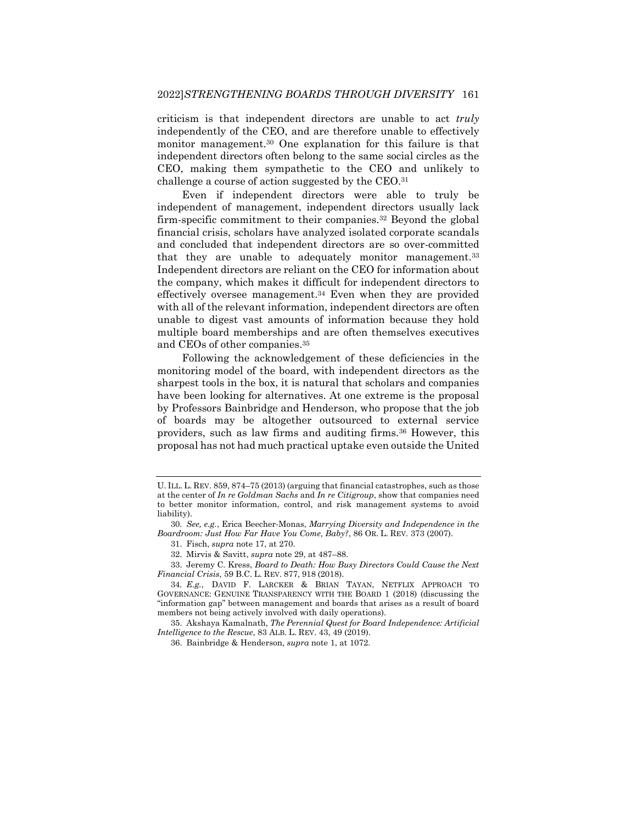criticism is that independent directors are unable to act *truly* independently of the CEO, and are therefore unable to effectively monitor management.<sup>30</sup> One explanation for this failure is that independent directors often belong to the same social circles as the CEO, making them sympathetic to the CEO and unlikely to challenge a course of action suggested by the CEO.<sup>31</sup>

Even if independent directors were able to truly be independent of management, independent directors usually lack firm-specific commitment to their companies.<sup>32</sup> Beyond the global financial crisis, scholars have analyzed isolated corporate scandals and concluded that independent directors are so over-committed that they are unable to adequately monitor management.<sup>33</sup> Independent directors are reliant on the CEO for information about the company, which makes it difficult for independent directors to effectively oversee management.<sup>34</sup> Even when they are provided with all of the relevant information, independent directors are often unable to digest vast amounts of information because they hold multiple board memberships and are often themselves executives and CEOs of other companies.<sup>35</sup>

<span id="page-7-0"></span>Following the acknowledgement of these deficiencies in the monitoring model of the board, with independent directors as the sharpest tools in the box, it is natural that scholars and companies have been looking for alternatives. At one extreme is the proposal by Professors Bainbridge and Henderson, who propose that the job of boards may be altogether outsourced to external service providers, such as law firms and auditing firms.<sup>36</sup> However, this proposal has not had much practical uptake even outside the United

U. ILL. L. REV. 859, 874–75 (2013) (arguing that financial catastrophes, such as those at the center of *In re Goldman Sachs* and *In re Citigroup*, show that companies need to better monitor information, control, and risk management systems to avoid liability).

<sup>30</sup>*. See, e.g.*, Erica Beecher-Monas, *Marrying Diversity and Independence in the Boardroom: Just How Far Have You Come, Baby?*, 86 OR. L. REV*.* 373 (2007).

<sup>31.</sup> Fisch, *supra* not[e 17,](#page-5-0) at 270.

<sup>32.</sup> Mirvis & Savitt, *supra* note [29,](#page-6-1) at 487–88.

<sup>33.</sup> Jeremy C. Kress, *Board to Death: How Busy Directors Could Cause the Next Financial Crisis*, 59 B.C. L. REV. 877, 918 (2018).

<sup>34</sup>*. E.g.*, DAVID F. LARCKER & BRIAN TAYAN, NETFLIX APPROACH TO GOVERNANCE: GENUINE TRANSPARENCY WITH THE BOARD 1 (2018) (discussing the "information gap" between management and boards that arises as a result of board members not being actively involved with daily operations).

<sup>35.</sup> Akshaya Kamalnath, *The Perennial Quest for Board Independence: Artificial Intelligence to the Rescue*, 83 ALB. L. REV. 43, 49 (2019).

<sup>36.</sup> Bainbridge & Henderson, *supra* not[e 1,](#page-2-1) at 1072.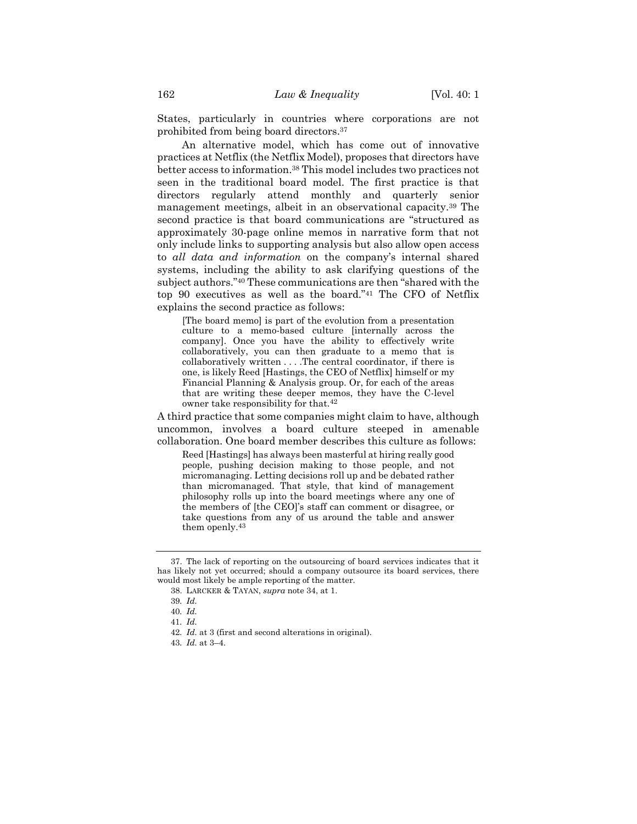States, particularly in countries where corporations are not prohibited from being board directors.<sup>37</sup>

An alternative model, which has come out of innovative practices at Netflix (the Netflix Model), proposes that directors have better access to information.<sup>38</sup> This model includes two practices not seen in the traditional board model. The first practice is that directors regularly attend monthly and quarterly senior management meetings, albeit in an observational capacity.<sup>39</sup> The second practice is that board communications are "structured as approximately 30-page online memos in narrative form that not only include links to supporting analysis but also allow open access to *all data and information* on the company's internal shared systems, including the ability to ask clarifying questions of the subject authors."<sup>40</sup> These communications are then "shared with the top 90 executives as well as the board."<sup>41</sup> The CFO of Netflix explains the second practice as follows:

[The board memo] is part of the evolution from a presentation culture to a memo-based culture [internally across the company]. Once you have the ability to effectively write collaboratively, you can then graduate to a memo that is collaboratively written . . . .The central coordinator, if there is one, is likely Reed [Hastings, the CEO of Netflix] himself or my Financial Planning & Analysis group. Or, for each of the areas that are writing these deeper memos, they have the C-level owner take responsibility for that.<sup>42</sup>

A third practice that some companies might claim to have, although uncommon, involves a board culture steeped in amenable collaboration. One board member describes this culture as follows:

Reed [Hastings] has always been masterful at hiring really good people, pushing decision making to those people, and not micromanaging. Letting decisions roll up and be debated rather than micromanaged. That style, that kind of management philosophy rolls up into the board meetings where any one of the members of [the CEO]'s staff can comment or disagree, or take questions from any of us around the table and answer them openly.<sup>43</sup>

<sup>37.</sup> The lack of reporting on the outsourcing of board services indicates that it has likely not yet occurred; should a company outsource its board services, there would most likely be ample reporting of the matter.

<sup>38.</sup> LARCKER & TAYAN, *supra* not[e 34,](#page-7-0) at 1.

<sup>39</sup>*. Id.*

<sup>40</sup>*. Id.*

<sup>41</sup>*. Id.*

<sup>42</sup>*. Id.* at 3 (first and second alterations in original).

<sup>43</sup>*. Id.* at 3–4.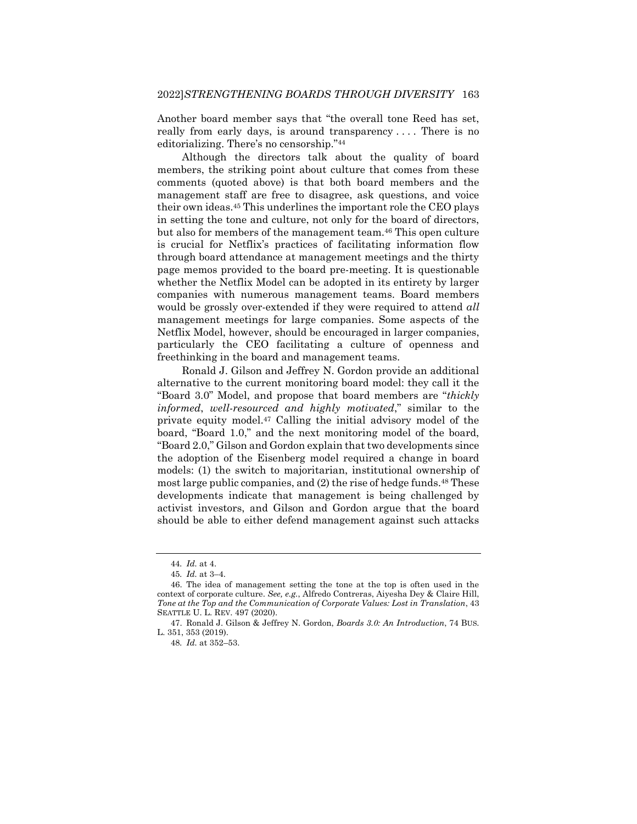Another board member says that "the overall tone Reed has set, really from early days, is around transparency .... There is no editorializing. There's no censorship."<sup>44</sup>

Although the directors talk about the quality of board members, the striking point about culture that comes from these comments (quoted above) is that both board members and the management staff are free to disagree, ask questions, and voice their own ideas.<sup>45</sup> This underlines the important role the CEO plays in setting the tone and culture, not only for the board of directors, but also for members of the management team.<sup>46</sup> This open culture is crucial for Netflix's practices of facilitating information flow through board attendance at management meetings and the thirty page memos provided to the board pre-meeting. It is questionable whether the Netflix Model can be adopted in its entirety by larger companies with numerous management teams. Board members would be grossly over-extended if they were required to attend *all* management meetings for large companies. Some aspects of the Netflix Model, however, should be encouraged in larger companies, particularly the CEO facilitating a culture of openness and freethinking in the board and management teams.

<span id="page-9-0"></span>Ronald J. Gilson and Jeffrey N. Gordon provide an additional alternative to the current monitoring board model: they call it the "Board 3.0" Model, and propose that board members are "*thickly informed*, *well-resourced and highly motivated*," similar to the private equity model.<sup>47</sup> Calling the initial advisory model of the board, "Board 1.0," and the next monitoring model of the board, "Board 2.0," Gilson and Gordon explain that two developments since the adoption of the Eisenberg model required a change in board models: (1) the switch to majoritarian, institutional ownership of most large public companies, and (2) the rise of hedge funds.<sup>48</sup> These developments indicate that management is being challenged by activist investors, and Gilson and Gordon argue that the board should be able to either defend management against such attacks

<sup>44</sup>*. Id.* at 4.

<sup>45</sup>*. Id.* at 3–4.

<sup>46.</sup> The idea of management setting the tone at the top is often used in the context of corporate culture. *See, e.g.*, Alfredo Contreras, Aiyesha Dey & Claire Hill, *Tone at the Top and the Communication of Corporate Values: Lost in Translation*, 43 SEATTLE U. L. REV. 497 (2020).

<sup>47.</sup> Ronald J. Gilson & Jeffrey N. Gordon, *Boards 3.0: An Introduction*, 74 BUS. L. 351, 353 (2019).

<sup>48</sup>*. Id.* at 352–53.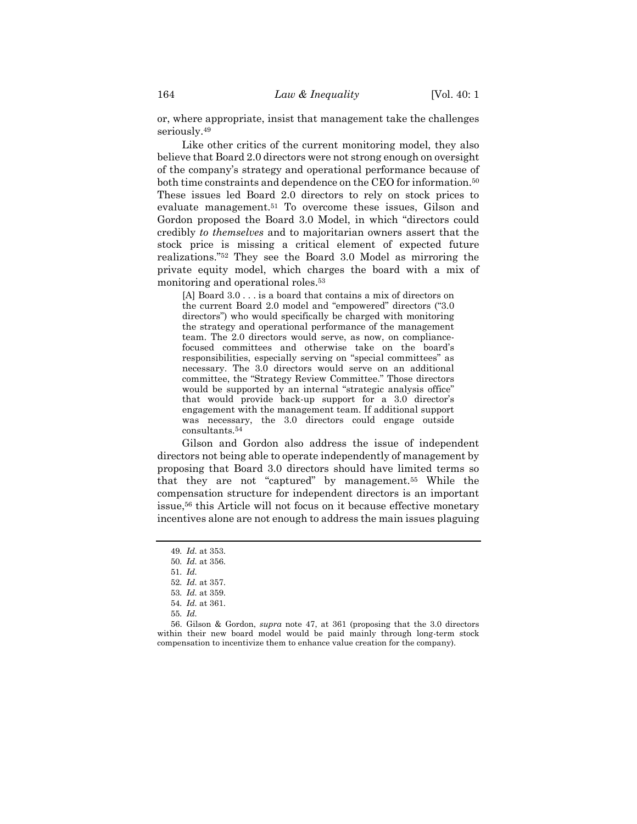or, where appropriate, insist that management take the challenges seriously.<sup>49</sup>

Like other critics of the current monitoring model, they also believe that Board 2.0 directors were not strong enough on oversight of the company's strategy and operational performance because of both time constraints and dependence on the CEO for information.<sup>50</sup> These issues led Board 2.0 directors to rely on stock prices to evaluate management.<sup>51</sup> To overcome these issues, Gilson and Gordon proposed the Board 3.0 Model, in which "directors could credibly *to themselves* and to majoritarian owners assert that the stock price is missing a critical element of expected future realizations."<sup>52</sup> They see the Board 3.0 Model as mirroring the private equity model, which charges the board with a mix of monitoring and operational roles.<sup>53</sup>

[A] Board 3.0 . . . is a board that contains a mix of directors on the current Board 2.0 model and "empowered" directors ("3.0 directors") who would specifically be charged with monitoring the strategy and operational performance of the management team. The 2.0 directors would serve, as now, on compliancefocused committees and otherwise take on the board's responsibilities, especially serving on "special committees" as necessary. The 3.0 directors would serve on an additional committee, the "Strategy Review Committee." Those directors would be supported by an internal "strategic analysis office" that would provide back-up support for a 3.0 director's engagement with the management team. If additional support was necessary, the 3.0 directors could engage outside consultants.<sup>54</sup>

Gilson and Gordon also address the issue of independent directors not being able to operate independently of management by proposing that Board 3.0 directors should have limited terms so that they are not "captured" by management.<sup>55</sup> While the compensation structure for independent directors is an important issue,<sup>56</sup> this Article will not focus on it because effective monetary incentives alone are not enough to address the main issues plaguing

<sup>49</sup>*. Id.* at 353.

<sup>50</sup>*. Id.* at 356.

<sup>51</sup>*. Id.*

<sup>52</sup>*. Id.* at 357.

<sup>53</sup>*. Id.* at 359.

<sup>54</sup>*. Id.* at 361.

<sup>55</sup>*. Id.*

<sup>56.</sup> Gilson & Gordon, *supra* note [47,](#page-9-0) at 361 (proposing that the 3.0 directors within their new board model would be paid mainly through long-term stock compensation to incentivize them to enhance value creation for the company).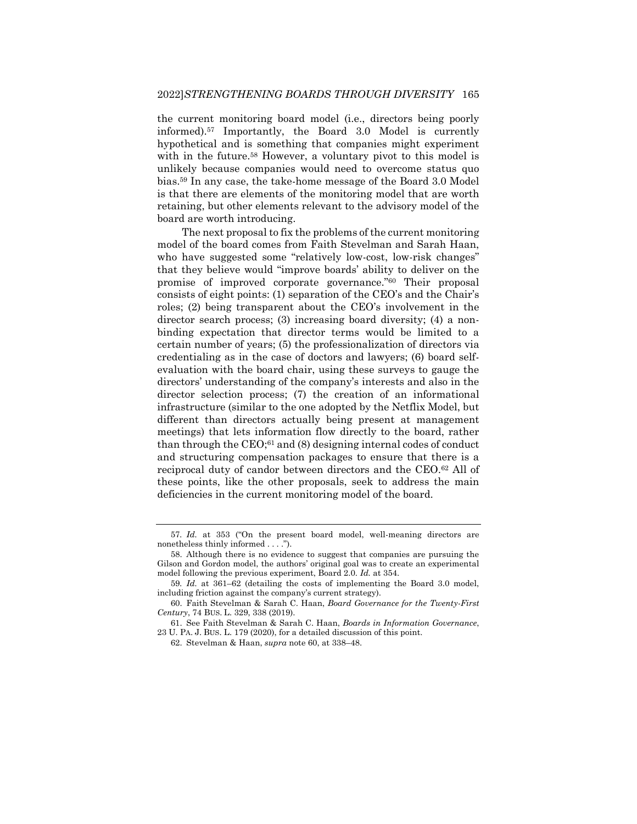the current monitoring board model (i.e., directors being poorly informed).<sup>57</sup> Importantly, the Board 3.0 Model is currently hypothetical and is something that companies might experiment with in the future.<sup>58</sup> However, a voluntary pivot to this model is unlikely because companies would need to overcome status quo bias.<sup>59</sup> In any case, the take-home message of the Board 3.0 Model is that there are elements of the monitoring model that are worth retaining, but other elements relevant to the advisory model of the board are worth introducing.

<span id="page-11-0"></span>The next proposal to fix the problems of the current monitoring model of the board comes from Faith Stevelman and Sarah Haan, who have suggested some "relatively low-cost, low-risk changes" that they believe would "improve boards' ability to deliver on the promise of improved corporate governance."<sup>60</sup> Their proposal consists of eight points: (1) separation of the CEO's and the Chair's roles; (2) being transparent about the CEO's involvement in the director search process; (3) increasing board diversity; (4) a nonbinding expectation that director terms would be limited to a certain number of years; (5) the professionalization of directors via credentialing as in the case of doctors and lawyers; (6) board selfevaluation with the board chair, using these surveys to gauge the directors' understanding of the company's interests and also in the director selection process; (7) the creation of an informational infrastructure (similar to the one adopted by the Netflix Model, but different than directors actually being present at management meetings) that lets information flow directly to the board, rather than through the CEO;<sup>61</sup> and (8) designing internal codes of conduct and structuring compensation packages to ensure that there is a reciprocal duty of candor between directors and the CEO.<sup>62</sup> All of these points, like the other proposals, seek to address the main deficiencies in the current monitoring model of the board.

<span id="page-11-1"></span><sup>57</sup>*. Id.* at 353 ("On the present board model, well-meaning directors are nonetheless thinly informed . . . .").

<sup>58.</sup> Although there is no evidence to suggest that companies are pursuing the Gilson and Gordon model, the authors' original goal was to create an experimental model following the previous experiment, Board 2.0. *Id.* at 354.

<sup>59</sup>*. Id.* at 361–62 (detailing the costs of implementing the Board 3.0 model, including friction against the company's current strategy).

<sup>60.</sup> Faith Stevelman & Sarah C. Haan, *Board Governance for the Twenty-First Century*, 74 BUS. L. 329, 338 (2019).

<sup>61.</sup> See Faith Stevelman & Sarah C. Haan, *Boards in Information Governance*, 23 U. PA. J. BUS. L. 179 (2020), for a detailed discussion of this point.

<sup>62.</sup> Stevelman & Haan, *supra* note [60,](#page-11-0) at 338–48.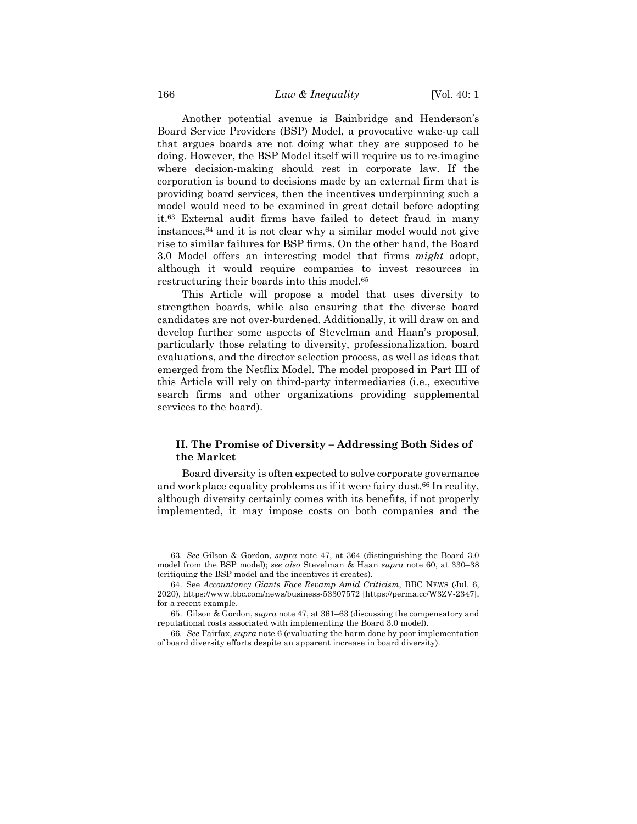Another potential avenue is Bainbridge and Henderson's Board Service Providers (BSP) Model, a provocative wake-up call that argues boards are not doing what they are supposed to be doing. However, the BSP Model itself will require us to re-imagine where decision-making should rest in corporate law. If the corporation is bound to decisions made by an external firm that is providing board services, then the incentives underpinning such a model would need to be examined in great detail before adopting it.<sup>63</sup> External audit firms have failed to detect fraud in many instances,<sup>64</sup> and it is not clear why a similar model would not give rise to similar failures for BSP firms. On the other hand, the Board 3.0 Model offers an interesting model that firms *might* adopt, although it would require companies to invest resources in restructuring their boards into this model.<sup>65</sup>

This Article will propose a model that uses diversity to strengthen boards, while also ensuring that the diverse board candidates are not over-burdened. Additionally, it will draw on and develop further some aspects of Stevelman and Haan's proposal, particularly those relating to diversity, professionalization, board evaluations, and the director selection process, as well as ideas that emerged from the Netflix Model. The model proposed in Part III of this Article will rely on third-party intermediaries (i.e., executive search firms and other organizations providing supplemental services to the board).

## **II. The Promise of Diversity – Addressing Both Sides of the Market**

Board diversity is often expected to solve corporate governance and workplace equality problems as if it were fairy dust.<sup>66</sup> In reality, although diversity certainly comes with its benefits, if not properly implemented, it may impose costs on both companies and the

<sup>63</sup>*. See* Gilson & Gordon, *supra* note [47,](#page-9-0) at 364 (distinguishing the Board 3.0 model from the BSP model); *see also* Stevelman & Haan *supra* note [60,](#page-11-0) at 330–38 (critiquing the BSP model and the incentives it creates).

<sup>64.</sup> See *Accountancy Giants Face Revamp Amid Criticism*, BBC NEWS (Jul. 6, 2020), https://www.bbc.com/news/business-53307572 [https://perma.cc/W3ZV-2347], for a recent example.

<sup>65.</sup> Gilson & Gordon, *supra* note [47,](#page-9-0) at 361–63 (discussing the compensatory and reputational costs associated with implementing the Board 3.0 model).

<sup>66</sup>*. See* Fairfax, *supra* not[e 6](#page-3-2) (evaluating the harm done by poor implementation of board diversity efforts despite an apparent increase in board diversity).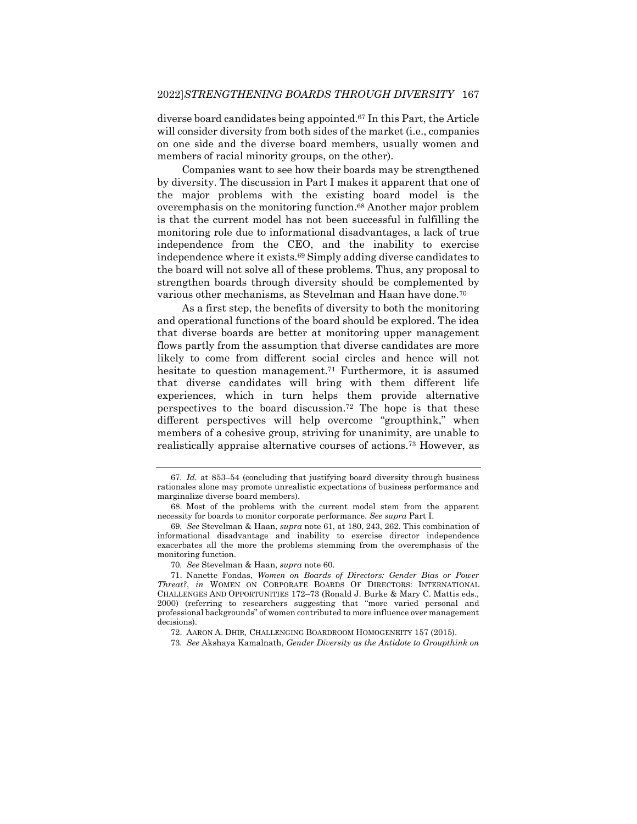diverse board candidates being appointed.<sup>67</sup> In this Part, the Article will consider diversity from both sides of the market (i.e., companies on one side and the diverse board members, usually women and members of racial minority groups, on the other).

Companies want to see how their boards may be strengthened by diversity. The discussion in Part I makes it apparent that one of the major problems with the existing board model is the overemphasis on the monitoring function.<sup>68</sup> Another major problem is that the current model has not been successful in fulfilling the monitoring role due to informational disadvantages, a lack of true independence from the CEO, and the inability to exercise independence where it exists.<sup>69</sup> Simply adding diverse candidates to the board will not solve all of these problems. Thus, any proposal to strengthen boards through diversity should be complemented by various other mechanisms, as Stevelman and Haan have done.<sup>70</sup>

As a first step, the benefits of diversity to both the monitoring and operational functions of the board should be explored. The idea that diverse boards are better at monitoring upper management flows partly from the assumption that diverse candidates are more likely to come from different social circles and hence will not hesitate to question management.<sup>71</sup> Furthermore, it is assumed that diverse candidates will bring with them different life experiences, which in turn helps them provide alternative perspectives to the board discussion.<sup>72</sup> The hope is that these different perspectives will help overcome "groupthink," when members of a cohesive group, striving for unanimity, are unable to realistically appraise alternative courses of actions. <sup>73</sup> However, as

<span id="page-13-0"></span><sup>67</sup>*. Id.* at 853–54 (concluding that justifying board diversity through business rationales alone may promote unrealistic expectations of business performance and marginalize diverse board members).

<sup>68.</sup> Most of the problems with the current model stem from the apparent necessity for boards to monitor corporate performance. *See supra* Part I.

<sup>69</sup>*. See* Stevelman & Haan, *supra* note [61,](#page-11-1) at 180, 243, 262. This combination of informational disadvantage and inability to exercise director independence exacerbates all the more the problems stemming from the overemphasis of the monitoring function.

<sup>70</sup>*. See* Stevelman & Haan, *supra* note [60.](#page-11-0)

<sup>71.</sup> Nanette Fondas, *Women on Boards of Directors: Gender Bias or Power Threat?*, *in* WOMEN ON CORPORATE BOARDS OF DIRECTORS: INTERNATIONAL CHALLENGES AND OPPORTUNITIES 172–73 (Ronald J. Burke & Mary C. Mattis eds., 2000) (referring to researchers suggesting that "more varied personal and professional backgrounds" of women contributed to more influence over management decisions).

<sup>72.</sup> AARON A. DHIR*,* CHALLENGING BOARDROOM HOMOGENEITY 157 (2015).

<sup>73</sup>*. See* Akshaya Kamalnath, *Gender Diversity as the Antidote to Groupthink on*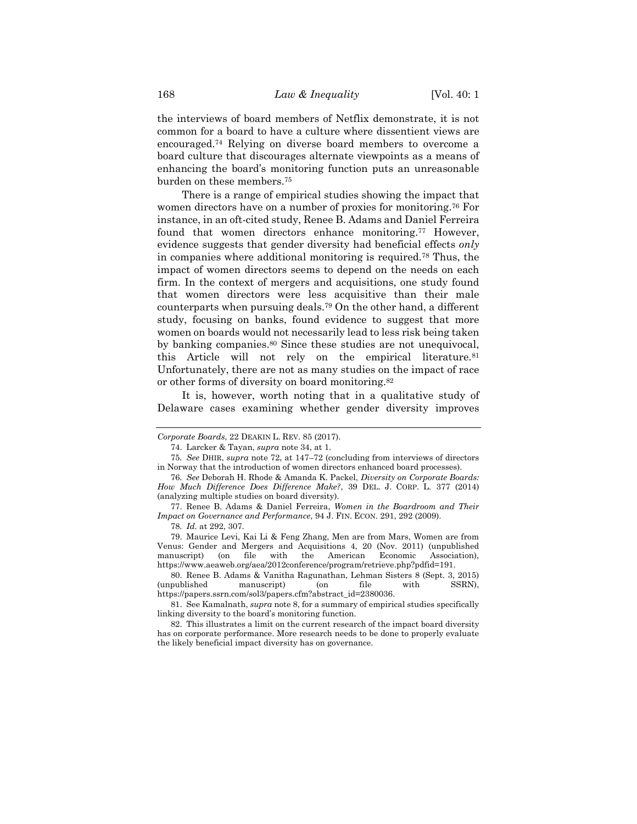the interviews of board members of Netflix demonstrate, it is not common for a board to have a culture where dissentient views are encouraged.<sup>74</sup> Relying on diverse board members to overcome a board culture that discourages alternate viewpoints as a means of enhancing the board's monitoring function puts an unreasonable burden on these members.<sup>75</sup>

There is a range of empirical studies showing the impact that women directors have on a number of proxies for monitoring.<sup>76</sup> For instance, in an oft-cited study, Renee B. Adams and Daniel Ferreira found that women directors enhance monitoring.<sup>77</sup> However, evidence suggests that gender diversity had beneficial effects *only* in companies where additional monitoring is required.<sup>78</sup> Thus, the impact of women directors seems to depend on the needs on each firm. In the context of mergers and acquisitions, one study found that women directors were less acquisitive than their male counterparts when pursuing deals.<sup>79</sup> On the other hand, a different study, focusing on banks, found evidence to suggest that more women on boards would not necessarily lead to less risk being taken by banking companies.<sup>80</sup> Since these studies are not unequivocal, this Article will not rely on the empirical literature.<sup>81</sup> Unfortunately, there are not as many studies on the impact of race or other forms of diversity on board monitoring.<sup>82</sup>

It is, however, worth noting that in a qualitative study of Delaware cases examining whether gender diversity improves

79. Maurice Levi, Kai Li & Feng Zhang, Men are from Mars, Women are from Venus: Gender and Mergers and Acquisitions 4, 20 (Nov. 2011) (unpublished with the American Economic Association), https://www.aeaweb.org/aea/2012conference/program/retrieve.php?pdfid=191.

80. Renee B. Adams & Vanitha Ragunathan, Lehman Sisters 8 (Sept. 3, 2015) (unpublished manuscript) (on file with SSRN), https://papers.ssrn.com/sol3/papers.cfm?abstract\_id=2380036.

82. This illustrates a limit on the current research of the impact board diversity has on corporate performance. More research needs to be done to properly evaluate the likely beneficial impact diversity has on governance.

*Corporate Boards*, 22 DEAKIN L. REV. 85 (2017).

<sup>74.</sup> Larcker & Tayan, *supra* note [34,](#page-7-0) at 1.

<sup>75</sup>*. See* DHIR, *supra* note [72,](#page-13-0) at 147–72 (concluding from interviews of directors in Norway that the introduction of women directors enhanced board processes).

<sup>76</sup>*. See* Deborah H. Rhode & Amanda K. Packel, *Diversity on Corporate Boards: How Much Difference Does Difference Make?*, 39 DEL. J. CORP. L. 377 (2014) (analyzing multiple studies on board diversity).

<sup>77.</sup> Renee B. Adams & Daniel Ferreira, *Women in the Boardroom and Their Impact on Governance and Performance*, 94 J. FIN. ECON. 291, 292 (2009).

<sup>78</sup>*. Id.* at 292, 307.

<sup>81.</sup> See Kamalnath, *supra* not[e 8,](#page-3-0) for a summary of empirical studies specifically linking diversity to the board's monitoring function.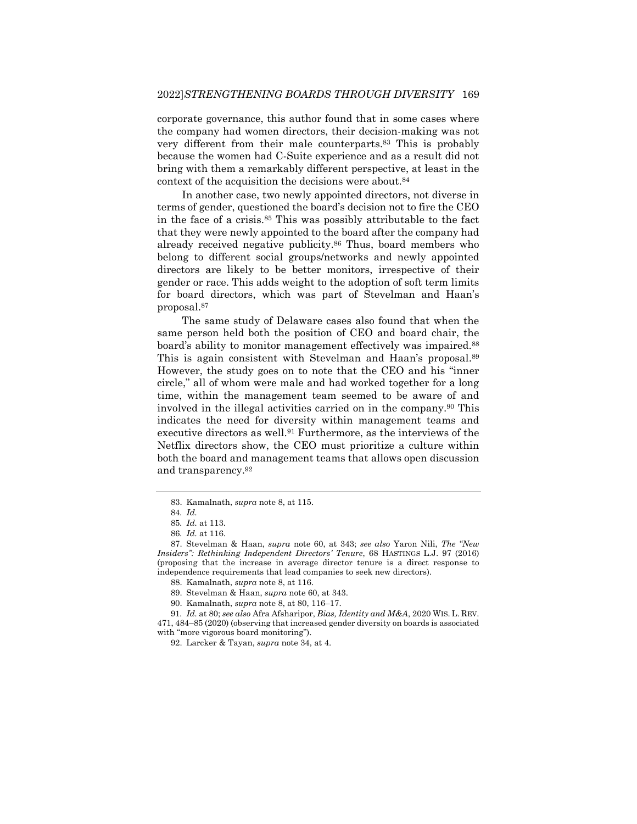corporate governance, this author found that in some cases where the company had women directors, their decision-making was not very different from their male counterparts.<sup>83</sup> This is probably because the women had C-Suite experience and as a result did not bring with them a remarkably different perspective, at least in the context of the acquisition the decisions were about.<sup>84</sup>

In another case, two newly appointed directors, not diverse in terms of gender, questioned the board's decision not to fire the CEO in the face of a crisis.<sup>85</sup> This was possibly attributable to the fact that they were newly appointed to the board after the company had already received negative publicity.<sup>86</sup> Thus, board members who belong to different social groups/networks and newly appointed directors are likely to be better monitors, irrespective of their gender or race. This adds weight to the adoption of soft term limits for board directors, which was part of Stevelman and Haan's proposal.<sup>87</sup>

The same study of Delaware cases also found that when the same person held both the position of CEO and board chair, the board's ability to monitor management effectively was impaired.<sup>88</sup> This is again consistent with Stevelman and Haan's proposal.<sup>89</sup> However, the study goes on to note that the CEO and his "inner circle," all of whom were male and had worked together for a long time, within the management team seemed to be aware of and involved in the illegal activities carried on in the company.<sup>90</sup> This indicates the need for diversity within management teams and executive directors as well.<sup>91</sup> Furthermore, as the interviews of the Netflix directors show, the CEO must prioritize a culture within both the board and management teams that allows open discussion and transparency.<sup>92</sup>

<sup>83.</sup> Kamalnath, *supra* not[e 8,](#page-3-0) at 115.

<sup>84</sup>*. Id.*

<sup>85</sup>*. Id.* at 113.

<sup>86</sup>*. Id.* at 116.

<sup>87.</sup> Stevelman & Haan, *supra* note [60,](#page-11-0) at 343; *see also* Yaron Nili, *The "New Insiders": Rethinking Independent Directors' Tenure*, 68 HASTINGS L.J. 97 (2016) (proposing that the increase in average director tenure is a direct response to independence requirements that lead companies to seek new directors).

<sup>88.</sup> Kamalnath, *supra* not[e 8,](#page-3-0) at 116.

<sup>89.</sup> Stevelman & Haan, *supra* note [60,](#page-11-0) at 343.

<sup>90.</sup> Kamalnath, *supra* not[e 8,](#page-3-0) at 80, 116–17.

<sup>91</sup>*. Id.* at 80; *see also* Afra Afsharipor, *Bias, Identity and M&A*, 2020 WIS. L. REV. 471, 484–85 (2020) (observing that increased gender diversity on boards is associated with "more vigorous board monitoring").

<sup>92.</sup> Larcker & Tayan, *supra* note [34,](#page-7-0) at 4.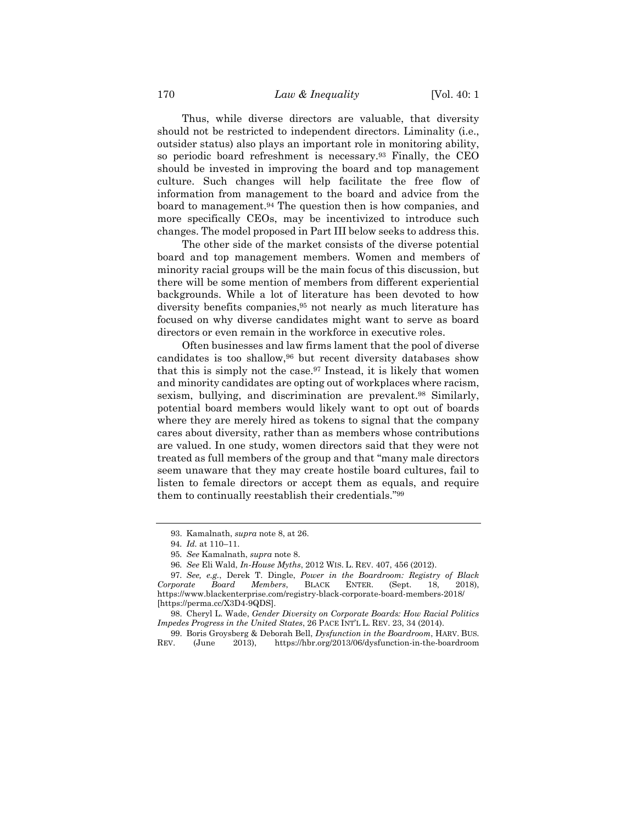Thus, while diverse directors are valuable, that diversity should not be restricted to independent directors. Liminality (i.e., outsider status) also plays an important role in monitoring ability, so periodic board refreshment is necessary.<sup>93</sup> Finally, the CEO should be invested in improving the board and top management culture. Such changes will help facilitate the free flow of information from management to the board and advice from the board to management.<sup>94</sup> The question then is how companies, and more specifically CEOs, may be incentivized to introduce such changes. The model proposed in Part III below seeks to address this.

The other side of the market consists of the diverse potential board and top management members. Women and members of minority racial groups will be the main focus of this discussion, but there will be some mention of members from different experiential backgrounds. While a lot of literature has been devoted to how diversity benefits companies,<sup>95</sup> not nearly as much literature has focused on why diverse candidates might want to serve as board directors or even remain in the workforce in executive roles.

Often businesses and law firms lament that the pool of diverse candidates is too shallow,<sup>96</sup> but recent diversity databases show that this is simply not the case.<sup>97</sup> Instead, it is likely that women and minority candidates are opting out of workplaces where racism, sexism, bullying, and discrimination are prevalent.<sup>98</sup> Similarly, potential board members would likely want to opt out of boards where they are merely hired as tokens to signal that the company cares about diversity, rather than as members whose contributions are valued. In one study, women directors said that they were not treated as full members of the group and that "many male directors seem unaware that they may create hostile board cultures, fail to listen to female directors or accept them as equals, and require them to continually reestablish their credentials."<sup>99</sup>

<sup>93.</sup> Kamalnath, *supra* not[e 8,](#page-3-0) at 26.

<sup>94</sup>*. Id.* at 110–11.

<sup>95</sup>*. See* Kamalnath, *supra* note [8.](#page-3-0)

<sup>96</sup>*. See* Eli Wald, *In-House Myths*, 2012 WIS. L. REV. 407, 456 (2012).

<sup>97</sup>*. See, e.g.*, Derek T. Dingle, *Power in the Boardroom: Registry of Black Corporate Board Members*, BLACK ENTER. (Sept. 18, 2018), https://www.blackenterprise.com/registry-black-corporate-board-members-2018/ [https://perma.cc/X3D4-9QDS].

<sup>98.</sup> Cheryl L. Wade, *Gender Diversity on Corporate Boards: How Racial Politics Impedes Progress in the United States*, 26 PACE INT'L L. REV. 23, 34 (2014).

<sup>99.</sup> Boris Groysberg & Deborah Bell, *Dysfunction in the Boardroom*, HARV. BUS. REV. (June 2013), https://hbr.org/2013/06/dysfunction-in-the-boardroom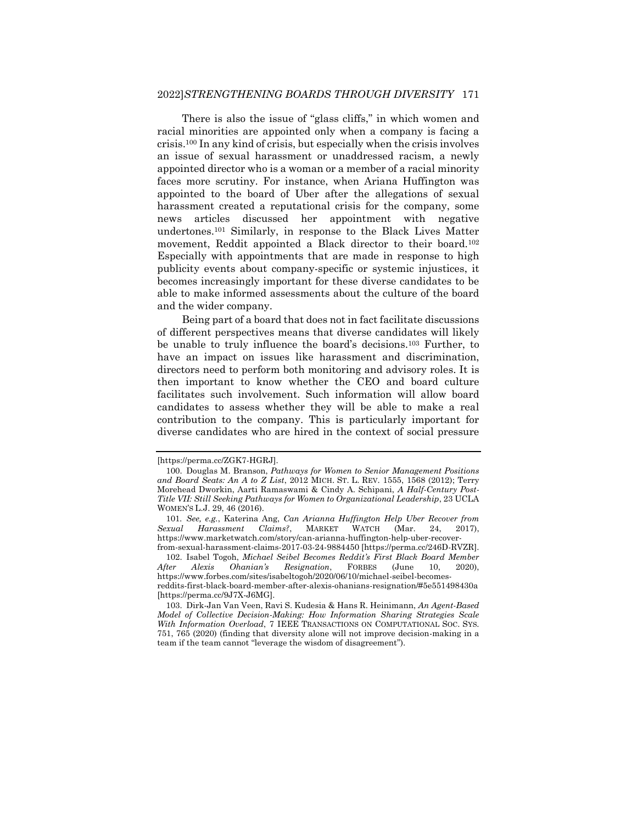<span id="page-17-2"></span>There is also the issue of "glass cliffs," in which women and racial minorities are appointed only when a company is facing a crisis.<sup>100</sup> In any kind of crisis, but especially when the crisis involves an issue of sexual harassment or unaddressed racism, a newly appointed director who is a woman or a member of a racial minority faces more scrutiny. For instance, when Ariana Huffington was appointed to the board of Uber after the allegations of sexual harassment created a reputational crisis for the company, some news articles discussed her appointment with negative undertones.<sup>101</sup> Similarly, in response to the Black Lives Matter movement, Reddit appointed a Black director to their board.<sup>102</sup> Especially with appointments that are made in response to high publicity events about company-specific or systemic injustices, it becomes increasingly important for these diverse candidates to be able to make informed assessments about the culture of the board and the wider company.

<span id="page-17-1"></span><span id="page-17-0"></span>Being part of a board that does not in fact facilitate discussions of different perspectives means that diverse candidates will likely be unable to truly influence the board's decisions.<sup>103</sup> Further, to have an impact on issues like harassment and discrimination, directors need to perform both monitoring and advisory roles. It is then important to know whether the CEO and board culture facilitates such involvement. Such information will allow board candidates to assess whether they will be able to make a real contribution to the company. This is particularly important for diverse candidates who are hired in the context of social pressure

102. Isabel Togoh, *Michael Seibel Becomes Reddit's First Black Board Member After Alexis Ohanian's Resignation*, FORBES (June 10, 2020), https://www.forbes.com/sites/isabeltogoh/2020/06/10/michael-seibel-becomesreddits-first-black-board-member-after-alexis-ohanians-resignation/#5e551498430a [https://perma.cc/9J7X-J6MG].

<sup>[</sup>https://perma.cc/ZGK7-HGRJ].

<sup>100.</sup> Douglas M. Branson, *Pathways for Women to Senior Management Positions and Board Seats: An A to Z List*, 2012 MICH. ST. L. REV. 1555, 1568 (2012); Terry Morehead Dworkin, Aarti Ramaswami & Cindy A. Schipani, *A Half-Century Post-Title VII: Still Seeking Pathways for Women to Organizational Leadership*, 23 UCLA WOMEN'S L.J. 29, 46 (2016).

<sup>101</sup>*. See, e.g.*, Katerina Ang, *Can Arianna Huffington Help Uber Recover from Sexual Harassment Claims?*, MARKET WATCH (Mar. 24, 2017), https://www.marketwatch.com/story/can-arianna-huffington-help-uber-recoverfrom-sexual-harassment-claims-2017-03-24-9884450 [https://perma.cc/246D-RVZR].

<sup>103.</sup> Dirk-Jan Van Veen, Ravi S. Kudesia & Hans R. Heinimann, *An Agent-Based Model of Collective Decision-Making: How Information Sharing Strategies Scale With Information Overload*, 7 IEEE TRANSACTIONS ON COMPUTATIONAL SOC. SYS. 751, 765 (2020) (finding that diversity alone will not improve decision-making in a team if the team cannot "leverage the wisdom of disagreement").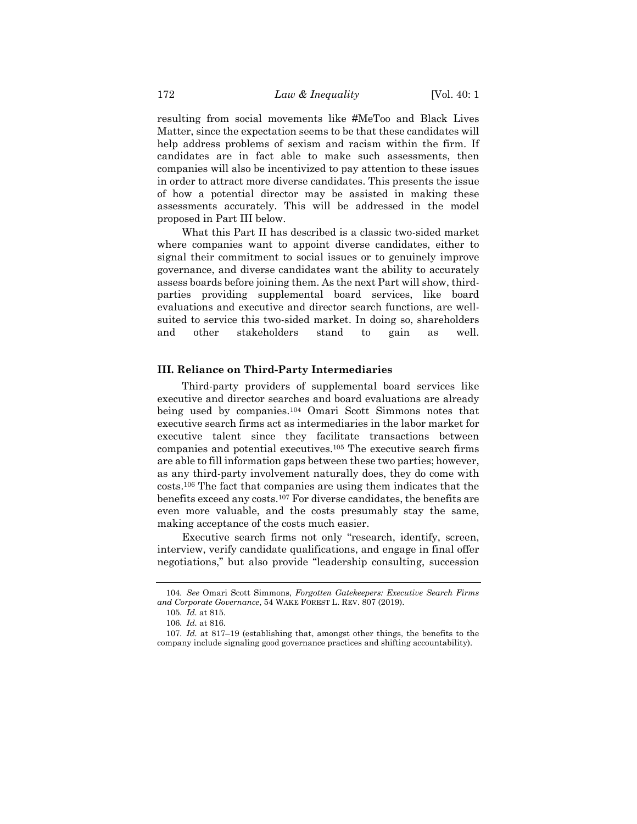resulting from social movements like #MeToo and Black Lives Matter, since the expectation seems to be that these candidates will help address problems of sexism and racism within the firm. If candidates are in fact able to make such assessments, then companies will also be incentivized to pay attention to these issues in order to attract more diverse candidates. This presents the issue of how a potential director may be assisted in making these assessments accurately. This will be addressed in the model proposed in Part III below.

What this Part II has described is a classic two-sided market where companies want to appoint diverse candidates, either to signal their commitment to social issues or to genuinely improve governance, and diverse candidates want the ability to accurately assess boards before joining them. As the next Part will show, thirdparties providing supplemental board services, like board evaluations and executive and director search functions, are wellsuited to service this two-sided market. In doing so, shareholders and other stakeholders stand to gain as well.

#### **III. Reliance on Third-Party Intermediaries**

Third-party providers of supplemental board services like executive and director searches and board evaluations are already being used by companies.<sup>104</sup> Omari Scott Simmons notes that executive search firms act as intermediaries in the labor market for executive talent since they facilitate transactions between companies and potential executives.<sup>105</sup> The executive search firms are able to fill information gaps between these two parties; however, as any third-party involvement naturally does, they do come with costs.<sup>106</sup> The fact that companies are using them indicates that the benefits exceed any costs.<sup>107</sup> For diverse candidates, the benefits are even more valuable, and the costs presumably stay the same, making acceptance of the costs much easier.

Executive search firms not only "research, identify, screen, interview, verify candidate qualifications, and engage in final offer negotiations," but also provide "leadership consulting, succession

<sup>104</sup>*. See* Omari Scott Simmons, *Forgotten Gatekeepers: Executive Search Firms and Corporate Governance*, 54 WAKE FOREST L. REV. 807 (2019).

<sup>105</sup>*. Id.* at 815.

<sup>106</sup>*. Id.* at 816.

<sup>107</sup>*. Id.* at 817–19 (establishing that, amongst other things, the benefits to the company include signaling good governance practices and shifting accountability).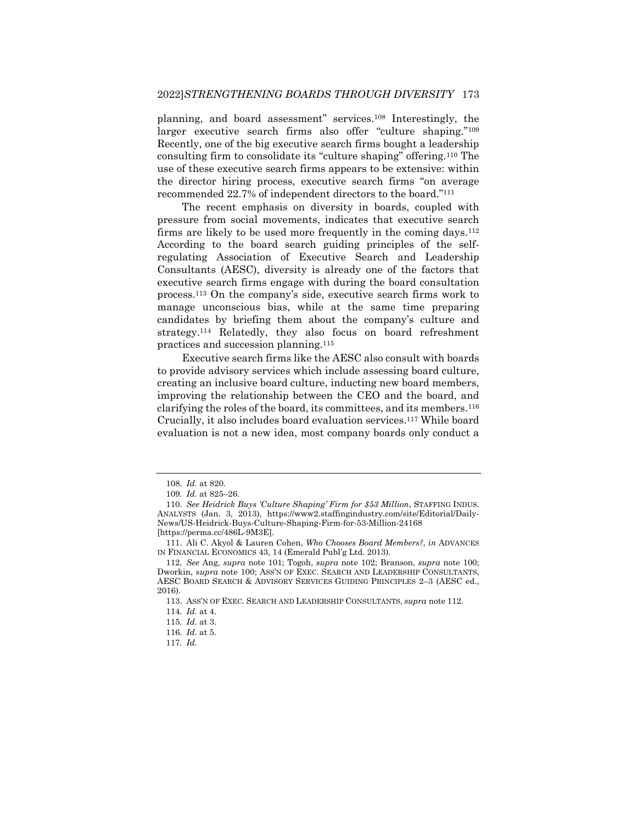planning, and board assessment" services.<sup>108</sup> Interestingly, the larger executive search firms also offer "culture shaping."<sup>109</sup> Recently, one of the big executive search firms bought a leadership consulting firm to consolidate its "culture shaping" offering.<sup>110</sup> The use of these executive search firms appears to be extensive: within the director hiring process, executive search firms "on average recommended 22.7% of independent directors to the board."<sup>111</sup>

<span id="page-19-0"></span>The recent emphasis on diversity in boards, coupled with pressure from social movements, indicates that executive search firms are likely to be used more frequently in the coming days.<sup>112</sup> According to the board search guiding principles of the selfregulating Association of Executive Search and Leadership Consultants (AESC), diversity is already one of the factors that executive search firms engage with during the board consultation process.<sup>113</sup> On the company's side, executive search firms work to manage unconscious bias, while at the same time preparing candidates by briefing them about the company's culture and strategy.<sup>114</sup> Relatedly, they also focus on board refreshment practices and succession planning.<sup>115</sup>

Executive search firms like the AESC also consult with boards to provide advisory services which include assessing board culture, creating an inclusive board culture, inducting new board members, improving the relationship between the CEO and the board, and clarifying the roles of the board, its committees, and its members.<sup>116</sup> Crucially, it also includes board evaluation services.<sup>117</sup> While board evaluation is not a new idea, most company boards only conduct a

<sup>108</sup>*. Id.* at 820.

<sup>109</sup>*. Id.* at 825–26.

<sup>110</sup>*. See Heidrick Buys 'Culture Shaping' Firm for \$53 Million*, STAFFING INDUS. ANALYSTS (Jan. 3, 2013), https://www2.staffingindustry.com/site/Editorial/Daily-News/US-Heidrick-Buys-Culture-Shaping-Firm-for-53-Million-24168 [https://perma.cc/486L-9M3E].

<sup>111.</sup> Ali C. Akyol & Lauren Cohen, *Who Chooses Board Members?*, *in* ADVANCES IN FINANCIAL ECONOMICS 43, 14 (Emerald Publ'g Ltd. 2013).

<sup>112</sup>*. See* Ang, *supra* note [101;](#page-17-0) Togoh, *supra* note [102;](#page-17-1) Branson, *supra* note [100;](#page-17-2)  Dworkin, s*upra* note [100;](#page-17-2) ASS'N OF EXEC. SEARCH AND LEADERSHIP CONSULTANTS, AESC BOARD SEARCH & ADVISORY SERVICES GUIDING PRINCIPLES 2–3 (AESC ed., 2016).

<sup>113.</sup> ASS'N OF EXEC. SEARCH AND LEADERSHIP CONSULTANTS, *supra* note [112.](#page-19-0)

<sup>114</sup>*. Id.* at 4.

<sup>115</sup>*. Id.* at 3.

<sup>116</sup>*. Id.* at 5.

<sup>117</sup>*. Id.*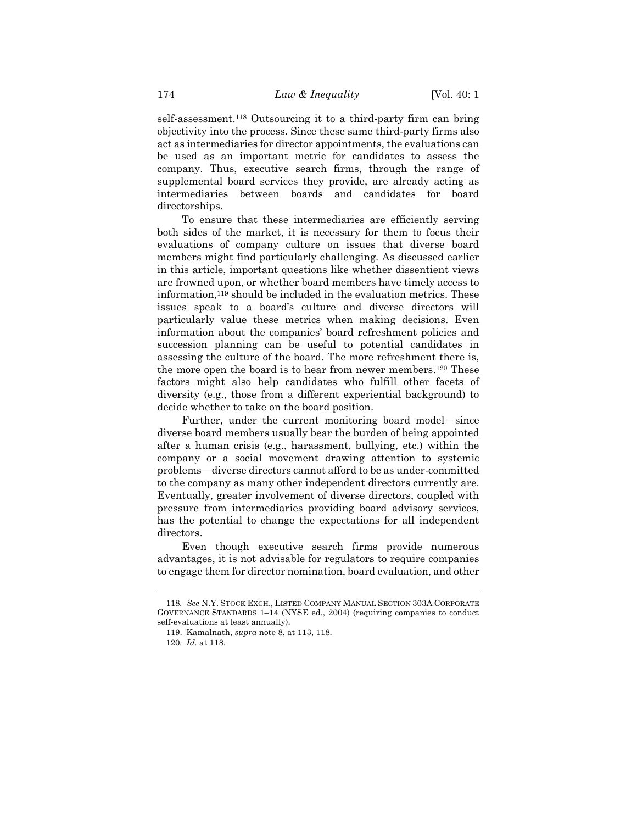self-assessment.<sup>118</sup> Outsourcing it to a third-party firm can bring objectivity into the process. Since these same third-party firms also act as intermediaries for director appointments, the evaluations can be used as an important metric for candidates to assess the company. Thus, executive search firms, through the range of supplemental board services they provide, are already acting as intermediaries between boards and candidates for board directorships.

To ensure that these intermediaries are efficiently serving both sides of the market, it is necessary for them to focus their evaluations of company culture on issues that diverse board members might find particularly challenging. As discussed earlier in this article, important questions like whether dissentient views are frowned upon, or whether board members have timely access to information,<sup>119</sup> should be included in the evaluation metrics. These issues speak to a board's culture and diverse directors will particularly value these metrics when making decisions. Even information about the companies' board refreshment policies and succession planning can be useful to potential candidates in assessing the culture of the board. The more refreshment there is, the more open the board is to hear from newer members.<sup>120</sup> These factors might also help candidates who fulfill other facets of diversity (e.g., those from a different experiential background) to decide whether to take on the board position.

Further, under the current monitoring board model—since diverse board members usually bear the burden of being appointed after a human crisis (e.g., harassment, bullying, etc.) within the company or a social movement drawing attention to systemic problems—diverse directors cannot afford to be as under-committed to the company as many other independent directors currently are. Eventually, greater involvement of diverse directors, coupled with pressure from intermediaries providing board advisory services, has the potential to change the expectations for all independent directors.

Even though executive search firms provide numerous advantages, it is not advisable for regulators to require companies to engage them for director nomination, board evaluation, and other

<sup>118</sup>*. See* N.Y. STOCK EXCH., LISTED COMPANY MANUAL SECTION 303A CORPORATE GOVERNANCE STANDARDS 1–14 (NYSE ed., 2004) (requiring companies to conduct self-evaluations at least annually).

<sup>119.</sup> Kamalnath, *supra* not[e 8,](#page-3-0) at 113, 118.

<sup>120</sup>*. Id.* at 118.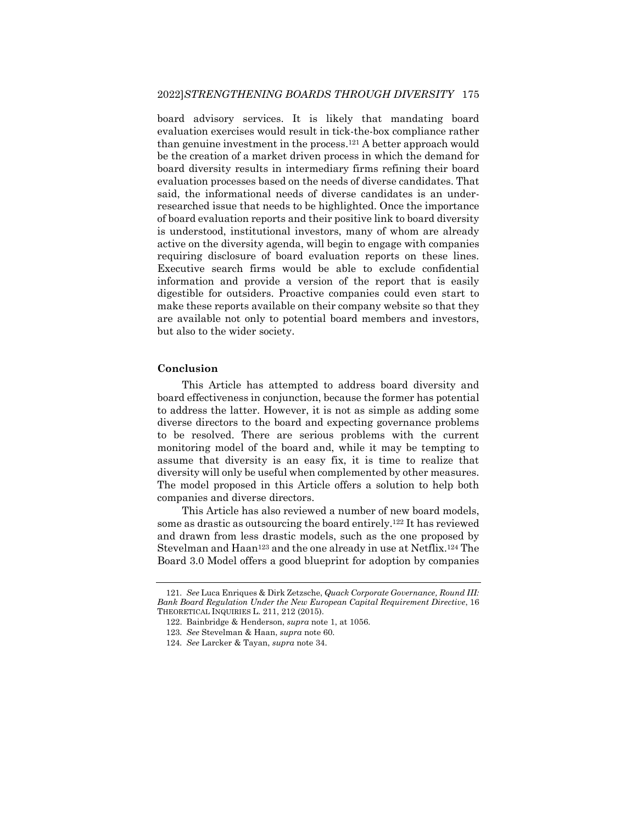board advisory services. It is likely that mandating board evaluation exercises would result in tick-the-box compliance rather than genuine investment in the process.<sup>121</sup> A better approach would be the creation of a market driven process in which the demand for board diversity results in intermediary firms refining their board evaluation processes based on the needs of diverse candidates. That said, the informational needs of diverse candidates is an underresearched issue that needs to be highlighted. Once the importance of board evaluation reports and their positive link to board diversity is understood, institutional investors, many of whom are already active on the diversity agenda, will begin to engage with companies requiring disclosure of board evaluation reports on these lines. Executive search firms would be able to exclude confidential information and provide a version of the report that is easily digestible for outsiders. Proactive companies could even start to make these reports available on their company website so that they are available not only to potential board members and investors, but also to the wider society.

#### **Conclusion**

This Article has attempted to address board diversity and board effectiveness in conjunction, because the former has potential to address the latter. However, it is not as simple as adding some diverse directors to the board and expecting governance problems to be resolved. There are serious problems with the current monitoring model of the board and, while it may be tempting to assume that diversity is an easy fix, it is time to realize that diversity will only be useful when complemented by other measures. The model proposed in this Article offers a solution to help both companies and diverse directors.

This Article has also reviewed a number of new board models, some as drastic as outsourcing the board entirely.<sup>122</sup> It has reviewed and drawn from less drastic models, such as the one proposed by Stevelman and Haan<sup>123</sup> and the one already in use at Netflix.<sup>124</sup> The Board 3.0 Model offers a good blueprint for adoption by companies

<sup>121</sup>*. See* Luca Enriques & Dirk Zetzsche, *Quack Corporate Governance, Round III: Bank Board Regulation Under the New European Capital Requirement Directive*, 16 THEORETICAL INQUIRIES L. 211, 212 (2015).

<sup>122.</sup> Bainbridge & Henderson, *supra* not[e 1,](#page-2-1) at 1056.

<sup>123</sup>*. See* Stevelman & Haan, *supra* note [60.](#page-11-0)

<sup>124</sup>*. See* Larcker & Tayan, *supra* not[e 34.](#page-7-0)